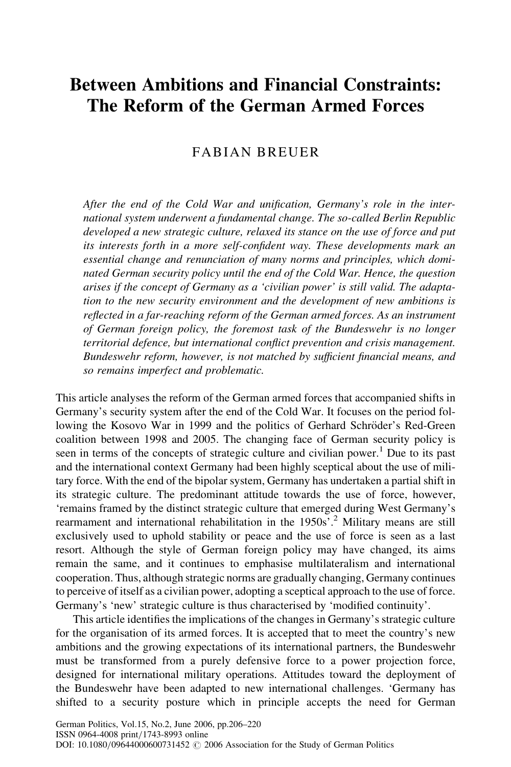# Between Ambitions and Financial Constraints: The Reform of the German Armed Forces

## FABIAN BREUER

After the end of the Cold War and unification, Germany's role in the international system underwent a fundamental change. The so-called Berlin Republic developed a new strategic culture, relaxed its stance on the use of force and put its interests forth in a more self-confident way. These developments mark an essential change and renunciation of many norms and principles, which dominated German security policy until the end of the Cold War. Hence, the question arises if the concept of Germany as a 'civilian power' is still valid. The adaptation to the new security environment and the development of new ambitions is reflected in a far-reaching reform of the German armed forces. As an instrument of German foreign policy, the foremost task of the Bundeswehr is no longer territorial defence, but international conflict prevention and crisis management. Bundeswehr reform, however, is not matched by sufficient financial means, and so remains imperfect and problematic.

This article analyses the reform of the German armed forces that accompanied shifts in Germany's security system after the end of the Cold War. It focuses on the period following the Kosovo War in 1999 and the politics of Gerhard Schröder's Red-Green coalition between 1998 and 2005. The changing face of German security policy is seen in terms of the concepts of strategic culture and civilian power.<sup>1</sup> Due to its past and the international context Germany had been highly sceptical about the use of military force. With the end of the bipolar system, Germany has undertaken a partial shift in its strategic culture. The predominant attitude towards the use of force, however, 'remains framed by the distinct strategic culture that emerged during West Germany's rearmament and international rehabilitation in the 1950s'.<sup>2</sup> Military means are still exclusively used to uphold stability or peace and the use of force is seen as a last resort. Although the style of German foreign policy may have changed, its aims remain the same, and it continues to emphasise multilateralism and international cooperation. Thus, although strategic norms are gradually changing, Germany continues to perceive of itself as a civilian power, adopting a sceptical approach to the use of force. Germany's 'new' strategic culture is thus characterised by 'modified continuity'.

This article identifies the implications of the changes in Germany's strategic culture for the organisation of its armed forces. It is accepted that to meet the country's new ambitions and the growing expectations of its international partners, the Bundeswehr must be transformed from a purely defensive force to a power projection force, designed for international military operations. Attitudes toward the deployment of the Bundeswehr have been adapted to new international challenges. 'Germany has shifted to a security posture which in principle accepts the need for German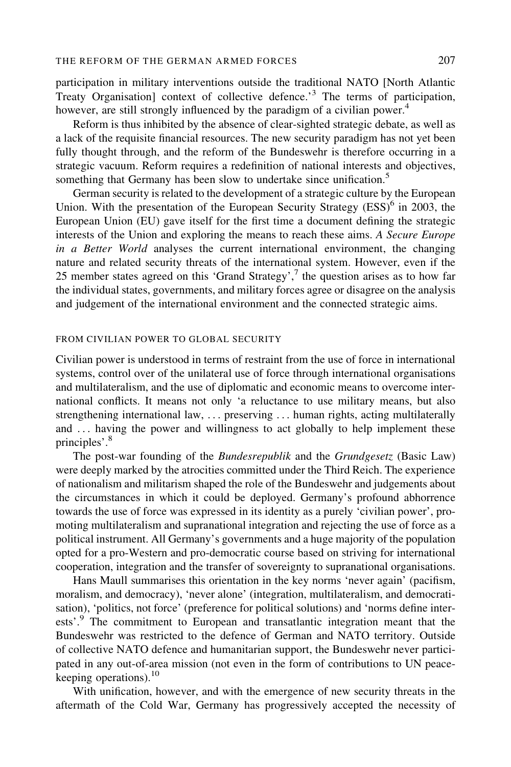participation in military interventions outside the traditional NATO [North Atlantic Treaty Organisation] context of collective defence.'<sup>3</sup> The terms of participation, however, are still strongly influenced by the paradigm of a civilian power.<sup>4</sup>

Reform is thus inhibited by the absence of clear-sighted strategic debate, as well as a lack of the requisite financial resources. The new security paradigm has not yet been fully thought through, and the reform of the Bundeswehr is therefore occurring in a strategic vacuum. Reform requires a redefinition of national interests and objectives, something that Germany has been slow to undertake since unification.<sup>5</sup>

German security is related to the development of a strategic culture by the European Union. With the presentation of the European Security Strategy  $(ESS)^6$  in 2003, the European Union (EU) gave itself for the first time a document defining the strategic interests of the Union and exploring the means to reach these aims. A Secure Europe in a Better World analyses the current international environment, the changing nature and related security threats of the international system. However, even if the 25 member states agreed on this 'Grand Strategy',  $\frac{7}{1}$  the question arises as to how far the individual states, governments, and military forces agree or disagree on the analysis and judgement of the international environment and the connected strategic aims.

#### FROM CIVILIAN POWER TO GLOBAL SECURITY

Civilian power is understood in terms of restraint from the use of force in international systems, control over of the unilateral use of force through international organisations and multilateralism, and the use of diplomatic and economic means to overcome international conflicts. It means not only 'a reluctance to use military means, but also strengthening international law, ... preserving ... human rights, acting multilaterally and ... having the power and willingness to act globally to help implement these principles'.<sup>8</sup>

The post-war founding of the Bundesrepublik and the Grundgesetz (Basic Law) were deeply marked by the atrocities committed under the Third Reich. The experience of nationalism and militarism shaped the role of the Bundeswehr and judgements about the circumstances in which it could be deployed. Germany's profound abhorrence towards the use of force was expressed in its identity as a purely 'civilian power', promoting multilateralism and supranational integration and rejecting the use of force as a political instrument. All Germany's governments and a huge majority of the population opted for a pro-Western and pro-democratic course based on striving for international cooperation, integration and the transfer of sovereignty to supranational organisations.

Hans Maull summarises this orientation in the key norms 'never again' (pacifism, moralism, and democracy), 'never alone' (integration, multilateralism, and democratisation), 'politics, not force' (preference for political solutions) and 'norms define interests'.<sup>9</sup> The commitment to European and transatlantic integration meant that the Bundeswehr was restricted to the defence of German and NATO territory. Outside of collective NATO defence and humanitarian support, the Bundeswehr never participated in any out-of-area mission (not even in the form of contributions to UN peacekeeping operations). $^{10}$ 

With unification, however, and with the emergence of new security threats in the aftermath of the Cold War, Germany has progressively accepted the necessity of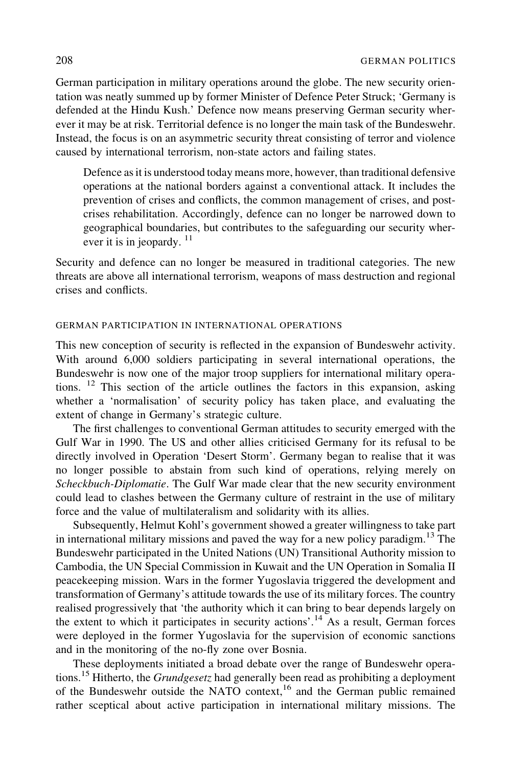German participation in military operations around the globe. The new security orientation was neatly summed up by former Minister of Defence Peter Struck; 'Germany is defended at the Hindu Kush.' Defence now means preserving German security wherever it may be at risk. Territorial defence is no longer the main task of the Bundeswehr. Instead, the focus is on an asymmetric security threat consisting of terror and violence caused by international terrorism, non-state actors and failing states.

Defence as it is understood today means more, however, than traditional defensive operations at the national borders against a conventional attack. It includes the prevention of crises and conflicts, the common management of crises, and postcrises rehabilitation. Accordingly, defence can no longer be narrowed down to geographical boundaries, but contributes to the safeguarding our security wherever it is in jeopardy.  $^{11}$ 

Security and defence can no longer be measured in traditional categories. The new threats are above all international terrorism, weapons of mass destruction and regional crises and conflicts.

## GERMAN PARTICIPATION IN INTERNATIONAL OPERATIONS

This new conception of security is reflected in the expansion of Bundeswehr activity. With around 6,000 soldiers participating in several international operations, the Bundeswehr is now one of the major troop suppliers for international military operations. <sup>12</sup> This section of the article outlines the factors in this expansion, asking whether a 'normalisation' of security policy has taken place, and evaluating the extent of change in Germany's strategic culture.

The first challenges to conventional German attitudes to security emerged with the Gulf War in 1990. The US and other allies criticised Germany for its refusal to be directly involved in Operation 'Desert Storm'. Germany began to realise that it was no longer possible to abstain from such kind of operations, relying merely on Scheckbuch-Diplomatie. The Gulf War made clear that the new security environment could lead to clashes between the Germany culture of restraint in the use of military force and the value of multilateralism and solidarity with its allies.

Subsequently, Helmut Kohl's government showed a greater willingness to take part in international military missions and paved the way for a new policy paradigm.<sup>13</sup> The Bundeswehr participated in the United Nations (UN) Transitional Authority mission to Cambodia, the UN Special Commission in Kuwait and the UN Operation in Somalia II peacekeeping mission. Wars in the former Yugoslavia triggered the development and transformation of Germany's attitude towards the use of its military forces. The country realised progressively that 'the authority which it can bring to bear depends largely on the extent to which it participates in security actions'.<sup>14</sup> As a result, German forces were deployed in the former Yugoslavia for the supervision of economic sanctions and in the monitoring of the no-fly zone over Bosnia.

These deployments initiated a broad debate over the range of Bundeswehr operations.<sup>15</sup> Hitherto, the *Grundgesetz* had generally been read as prohibiting a deployment of the Bundeswehr outside the NATO context,<sup>16</sup> and the German public remained rather sceptical about active participation in international military missions. The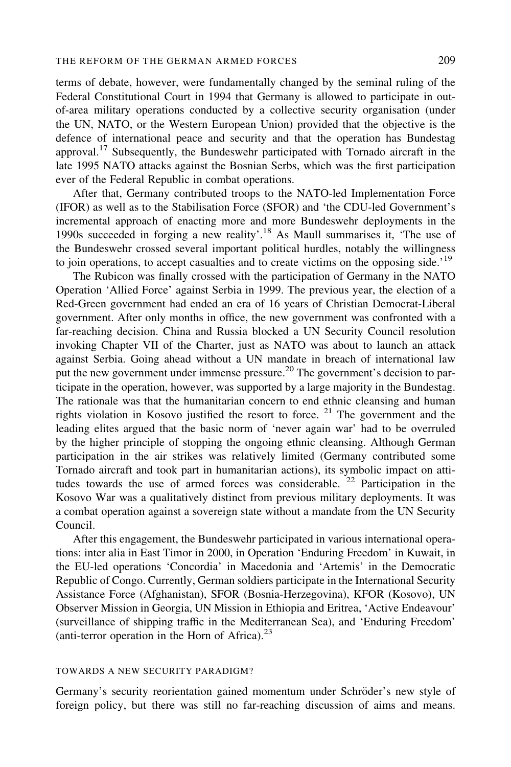terms of debate, however, were fundamentally changed by the seminal ruling of the Federal Constitutional Court in 1994 that Germany is allowed to participate in outof-area military operations conducted by a collective security organisation (under the UN, NATO, or the Western European Union) provided that the objective is the defence of international peace and security and that the operation has Bundestag approval.<sup>17</sup> Subsequently, the Bundeswehr participated with Tornado aircraft in the late 1995 NATO attacks against the Bosnian Serbs, which was the first participation ever of the Federal Republic in combat operations.

After that, Germany contributed troops to the NATO-led Implementation Force (IFOR) as well as to the Stabilisation Force (SFOR) and 'the CDU-led Government's incremental approach of enacting more and more Bundeswehr deployments in the 1990s succeeded in forging a new reality'.<sup>18</sup> As Maull summarises it, 'The use of the Bundeswehr crossed several important political hurdles, notably the willingness to join operations, to accept casualties and to create victims on the opposing side.'<sup>19</sup>

The Rubicon was finally crossed with the participation of Germany in the NATO Operation 'Allied Force' against Serbia in 1999. The previous year, the election of a Red-Green government had ended an era of 16 years of Christian Democrat-Liberal government. After only months in office, the new government was confronted with a far-reaching decision. China and Russia blocked a UN Security Council resolution invoking Chapter VII of the Charter, just as NATO was about to launch an attack against Serbia. Going ahead without a UN mandate in breach of international law put the new government under immense pressure.<sup>20</sup> The government's decision to participate in the operation, however, was supported by a large majority in the Bundestag. The rationale was that the humanitarian concern to end ethnic cleansing and human rights violation in Kosovo justified the resort to force.  $21$  The government and the leading elites argued that the basic norm of 'never again war' had to be overruled by the higher principle of stopping the ongoing ethnic cleansing. Although German participation in the air strikes was relatively limited (Germany contributed some Tornado aircraft and took part in humanitarian actions), its symbolic impact on attitudes towards the use of armed forces was considerable.<sup>22</sup> Participation in the Kosovo War was a qualitatively distinct from previous military deployments. It was a combat operation against a sovereign state without a mandate from the UN Security Council.

After this engagement, the Bundeswehr participated in various international operations: inter alia in East Timor in 2000, in Operation 'Enduring Freedom' in Kuwait, in the EU-led operations 'Concordia' in Macedonia and 'Artemis' in the Democratic Republic of Congo. Currently, German soldiers participate in the International Security Assistance Force (Afghanistan), SFOR (Bosnia-Herzegovina), KFOR (Kosovo), UN Observer Mission in Georgia, UN Mission in Ethiopia and Eritrea, 'Active Endeavour' (surveillance of shipping traffic in the Mediterranean Sea), and 'Enduring Freedom' (anti-terror operation in the Horn of Africa). $23$ 

#### TOWARDS A NEW SECURITY PARADIGM?

Germany's security reorientation gained momentum under Schröder's new style of foreign policy, but there was still no far-reaching discussion of aims and means.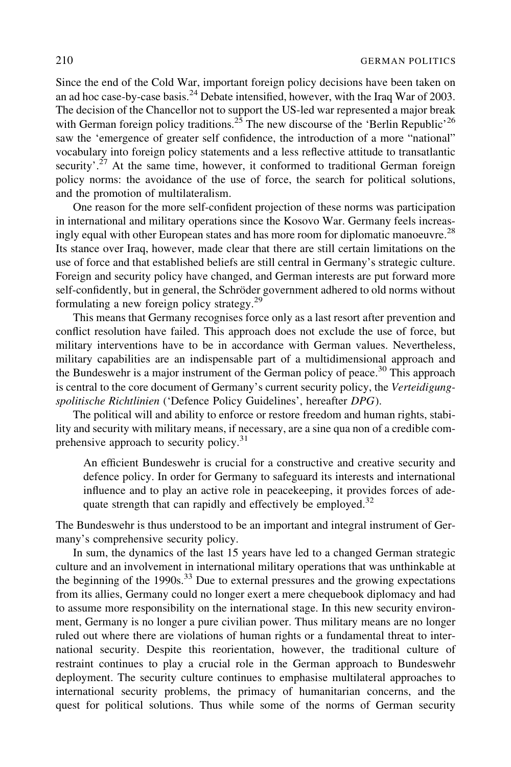Since the end of the Cold War, important foreign policy decisions have been taken on an ad hoc case-by-case basis. $^{24}$  Debate intensified, however, with the Iraq War of 2003. The decision of the Chancellor not to support the US-led war represented a major break with German foreign policy traditions.<sup>25</sup> The new discourse of the 'Berlin Republic'<sup>26</sup> saw the 'emergence of greater self confidence, the introduction of a more "national" vocabulary into foreign policy statements and a less reflective attitude to transatlantic security'.<sup>27</sup> At the same time, however, it conformed to traditional German foreign policy norms: the avoidance of the use of force, the search for political solutions, and the promotion of multilateralism.

One reason for the more self-confident projection of these norms was participation in international and military operations since the Kosovo War. Germany feels increasingly equal with other European states and has more room for diplomatic manoeuvre.<sup>28</sup> Its stance over Iraq, however, made clear that there are still certain limitations on the use of force and that established beliefs are still central in Germany's strategic culture. Foreign and security policy have changed, and German interests are put forward more self-confidently, but in general, the Schröder government adhered to old norms without formulating a new foreign policy strategy.<sup>29</sup>

This means that Germany recognises force only as a last resort after prevention and conflict resolution have failed. This approach does not exclude the use of force, but military interventions have to be in accordance with German values. Nevertheless, military capabilities are an indispensable part of a multidimensional approach and the Bundeswehr is a major instrument of the German policy of peace.<sup>30</sup> This approach is central to the core document of Germany's current security policy, the Verteidigungspolitische Richtlinien ('Defence Policy Guidelines', hereafter DPG).

The political will and ability to enforce or restore freedom and human rights, stability and security with military means, if necessary, are a sine qua non of a credible comprehensive approach to security policy.<sup>31</sup>

An efficient Bundeswehr is crucial for a constructive and creative security and defence policy. In order for Germany to safeguard its interests and international influence and to play an active role in peacekeeping, it provides forces of adequate strength that can rapidly and effectively be employed.<sup>32</sup>

The Bundeswehr is thus understood to be an important and integral instrument of Germany's comprehensive security policy.

In sum, the dynamics of the last 15 years have led to a changed German strategic culture and an involvement in international military operations that was unthinkable at the beginning of the  $1990s$ .<sup>33</sup> Due to external pressures and the growing expectations from its allies, Germany could no longer exert a mere chequebook diplomacy and had to assume more responsibility on the international stage. In this new security environment, Germany is no longer a pure civilian power. Thus military means are no longer ruled out where there are violations of human rights or a fundamental threat to international security. Despite this reorientation, however, the traditional culture of restraint continues to play a crucial role in the German approach to Bundeswehr deployment. The security culture continues to emphasise multilateral approaches to international security problems, the primacy of humanitarian concerns, and the quest for political solutions. Thus while some of the norms of German security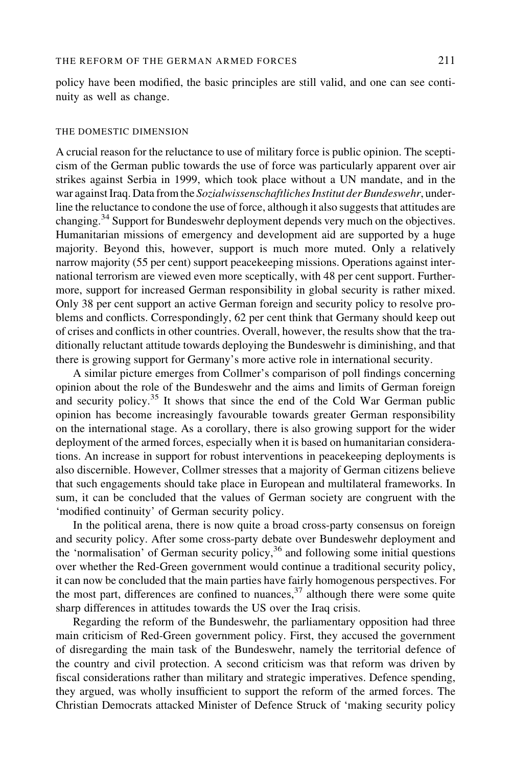policy have been modified, the basic principles are still valid, and one can see continuity as well as change.

#### THE DOMESTIC DIMENSION

A crucial reason for the reluctance to use of military force is public opinion. The scepticism of the German public towards the use of force was particularly apparent over air strikes against Serbia in 1999, which took place without a UN mandate, and in the war against Iraq. Data from the Sozialwissenschaftliches Institut der Bundeswehr, underline the reluctance to condone the use of force, although it also suggests that attitudes are changing.<sup>34</sup> Support for Bundeswehr deployment depends very much on the objectives. Humanitarian missions of emergency and development aid are supported by a huge majority. Beyond this, however, support is much more muted. Only a relatively narrow majority (55 per cent) support peacekeeping missions. Operations against international terrorism are viewed even more sceptically, with 48 per cent support. Furthermore, support for increased German responsibility in global security is rather mixed. Only 38 per cent support an active German foreign and security policy to resolve problems and conflicts. Correspondingly, 62 per cent think that Germany should keep out of crises and conflicts in other countries. Overall, however, the results show that the traditionally reluctant attitude towards deploying the Bundeswehr is diminishing, and that there is growing support for Germany's more active role in international security.

A similar picture emerges from Collmer's comparison of poll findings concerning opinion about the role of the Bundeswehr and the aims and limits of German foreign and security policy.<sup>35</sup> It shows that since the end of the Cold War German public opinion has become increasingly favourable towards greater German responsibility on the international stage. As a corollary, there is also growing support for the wider deployment of the armed forces, especially when it is based on humanitarian considerations. An increase in support for robust interventions in peacekeeping deployments is also discernible. However, Collmer stresses that a majority of German citizens believe that such engagements should take place in European and multilateral frameworks. In sum, it can be concluded that the values of German society are congruent with the 'modified continuity' of German security policy.

In the political arena, there is now quite a broad cross-party consensus on foreign and security policy. After some cross-party debate over Bundeswehr deployment and the 'normalisation' of German security policy,  $36$  and following some initial questions over whether the Red-Green government would continue a traditional security policy, it can now be concluded that the main parties have fairly homogenous perspectives. For the most part, differences are confined to nuances,  $37$  although there were some quite sharp differences in attitudes towards the US over the Iraq crisis.

Regarding the reform of the Bundeswehr, the parliamentary opposition had three main criticism of Red-Green government policy. First, they accused the government of disregarding the main task of the Bundeswehr, namely the territorial defence of the country and civil protection. A second criticism was that reform was driven by fiscal considerations rather than military and strategic imperatives. Defence spending, they argued, was wholly insufficient to support the reform of the armed forces. The Christian Democrats attacked Minister of Defence Struck of 'making security policy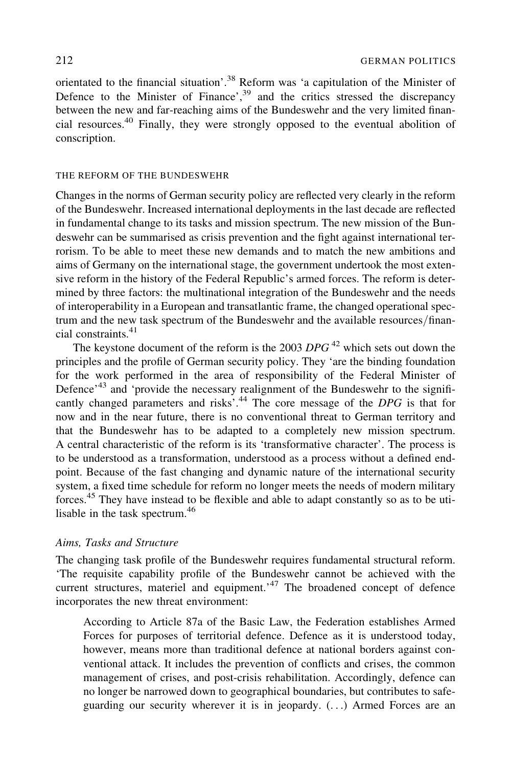orientated to the financial situation'.<sup>38</sup> Reform was 'a capitulation of the Minister of Defence to the Minister of Finance',<sup>39</sup> and the critics stressed the discrepancy between the new and far-reaching aims of the Bundeswehr and the very limited financial resources.<sup>40</sup> Finally, they were strongly opposed to the eventual abolition of conscription.

#### THE REFORM OF THE BUNDESWEHR

Changes in the norms of German security policy are reflected very clearly in the reform of the Bundeswehr. Increased international deployments in the last decade are reflected in fundamental change to its tasks and mission spectrum. The new mission of the Bundeswehr can be summarised as crisis prevention and the fight against international terrorism. To be able to meet these new demands and to match the new ambitions and aims of Germany on the international stage, the government undertook the most extensive reform in the history of the Federal Republic's armed forces. The reform is determined by three factors: the multinational integration of the Bundeswehr and the needs of interoperability in a European and transatlantic frame, the changed operational spectrum and the new task spectrum of the Bundeswehr and the available resources/financial constraints.<sup>41</sup>

The keystone document of the reform is the 2003  $DPG^{42}$  which sets out down the principles and the profile of German security policy. They 'are the binding foundation for the work performed in the area of responsibility of the Federal Minister of Defence<sup>,43</sup> and 'provide the necessary realignment of the Bundeswehr to the significantly changed parameters and risks<sup>44</sup>. The core message of the DPG is that for now and in the near future, there is no conventional threat to German territory and that the Bundeswehr has to be adapted to a completely new mission spectrum. A central characteristic of the reform is its 'transformative character'. The process is to be understood as a transformation, understood as a process without a defined endpoint. Because of the fast changing and dynamic nature of the international security system, a fixed time schedule for reform no longer meets the needs of modern military forces.<sup>45</sup> They have instead to be flexible and able to adapt constantly so as to be utilisable in the task spectrum.<sup>46</sup>

## Aims, Tasks and Structure

The changing task profile of the Bundeswehr requires fundamental structural reform. 'The requisite capability profile of the Bundeswehr cannot be achieved with the current structures, materiel and equipment.<sup>47</sup> The broadened concept of defence incorporates the new threat environment:

According to Article 87a of the Basic Law, the Federation establishes Armed Forces for purposes of territorial defence. Defence as it is understood today, however, means more than traditional defence at national borders against conventional attack. It includes the prevention of conflicts and crises, the common management of crises, and post-crisis rehabilitation. Accordingly, defence can no longer be narrowed down to geographical boundaries, but contributes to safeguarding our security wherever it is in jeopardy. (...) Armed Forces are an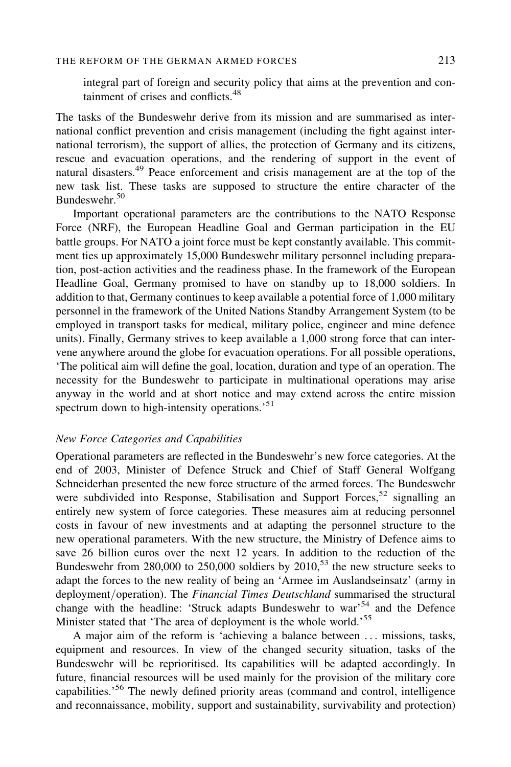integral part of foreign and security policy that aims at the prevention and containment of crises and conflicts.<sup>48</sup>

The tasks of the Bundeswehr derive from its mission and are summarised as international conflict prevention and crisis management (including the fight against international terrorism), the support of allies, the protection of Germany and its citizens, rescue and evacuation operations, and the rendering of support in the event of natural disasters.<sup>49</sup> Peace enforcement and crisis management are at the top of the new task list. These tasks are supposed to structure the entire character of the Bundeswehr.<sup>50</sup>

Important operational parameters are the contributions to the NATO Response Force (NRF), the European Headline Goal and German participation in the EU battle groups. For NATO a joint force must be kept constantly available. This commitment ties up approximately 15,000 Bundeswehr military personnel including preparation, post-action activities and the readiness phase. In the framework of the European Headline Goal, Germany promised to have on standby up to 18,000 soldiers. In addition to that, Germany continues to keep available a potential force of 1,000 military personnel in the framework of the United Nations Standby Arrangement System (to be employed in transport tasks for medical, military police, engineer and mine defence units). Finally, Germany strives to keep available a 1,000 strong force that can intervene anywhere around the globe for evacuation operations. For all possible operations, 'The political aim will define the goal, location, duration and type of an operation. The necessity for the Bundeswehr to participate in multinational operations may arise anyway in the world and at short notice and may extend across the entire mission spectrum down to high-intensity operations.<sup>51</sup>

## New Force Categories and Capabilities

Operational parameters are reflected in the Bundeswehr's new force categories. At the end of 2003, Minister of Defence Struck and Chief of Staff General Wolfgang Schneiderhan presented the new force structure of the armed forces. The Bundeswehr were subdivided into Response, Stabilisation and Support Forces,  $52$  signalling an entirely new system of force categories. These measures aim at reducing personnel costs in favour of new investments and at adapting the personnel structure to the new operational parameters. With the new structure, the Ministry of Defence aims to save 26 billion euros over the next 12 years. In addition to the reduction of the Bundeswehr from 280,000 to 250,000 soldiers by  $2010$ ,<sup>53</sup> the new structure seeks to adapt the forces to the new reality of being an 'Armee im Auslandseinsatz' (army in deployment/operation). The *Financial Times Deutschland* summarised the structural change with the headline: 'Struck adapts Bundeswehr to war'<sup>54</sup> and the Defence Minister stated that 'The area of deployment is the whole world.'55

A major aim of the reform is 'achieving a balance between ... missions, tasks, equipment and resources. In view of the changed security situation, tasks of the Bundeswehr will be reprioritised. Its capabilities will be adapted accordingly. In future, financial resources will be used mainly for the provision of the military core capabilities.'<sup>56</sup> The newly defined priority areas (command and control, intelligence and reconnaissance, mobility, support and sustainability, survivability and protection)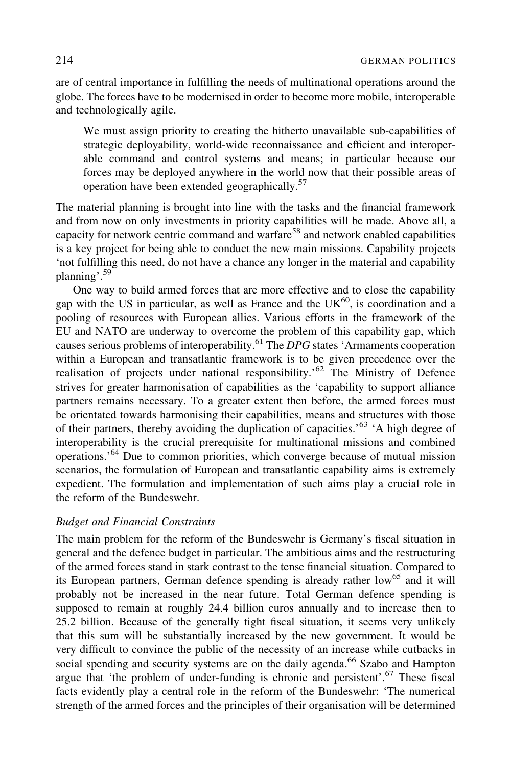are of central importance in fulfilling the needs of multinational operations around the globe. The forces have to be modernised in order to become more mobile, interoperable and technologically agile.

We must assign priority to creating the hitherto unavailable sub-capabilities of strategic deployability, world-wide reconnaissance and efficient and interoperable command and control systems and means; in particular because our forces may be deployed anywhere in the world now that their possible areas of operation have been extended geographically.<sup>57</sup>

The material planning is brought into line with the tasks and the financial framework and from now on only investments in priority capabilities will be made. Above all, a capacity for network centric command and warfare<sup>58</sup> and network enabled capabilities is a key project for being able to conduct the new main missions. Capability projects 'not fulfilling this need, do not have a chance any longer in the material and capability planning'.<sup>59</sup>

One way to build armed forces that are more effective and to close the capability gap with the US in particular, as well as France and the  $UK<sup>60</sup>$ , is coordination and a pooling of resources with European allies. Various efforts in the framework of the EU and NATO are underway to overcome the problem of this capability gap, which causes serious problems of interoperability.<sup>61</sup> The DPG states 'Armaments cooperation within a European and transatlantic framework is to be given precedence over the realisation of projects under national responsibility.'<sup>62</sup> The Ministry of Defence strives for greater harmonisation of capabilities as the 'capability to support alliance partners remains necessary. To a greater extent then before, the armed forces must be orientated towards harmonising their capabilities, means and structures with those of their partners, thereby avoiding the duplication of capacities.'<sup>63</sup> 'A high degree of interoperability is the crucial prerequisite for multinational missions and combined operations.'<sup>64</sup> Due to common priorities, which converge because of mutual mission scenarios, the formulation of European and transatlantic capability aims is extremely expedient. The formulation and implementation of such aims play a crucial role in the reform of the Bundeswehr.

## Budget and Financial Constraints

The main problem for the reform of the Bundeswehr is Germany's fiscal situation in general and the defence budget in particular. The ambitious aims and the restructuring of the armed forces stand in stark contrast to the tense financial situation. Compared to its European partners, German defence spending is already rather low<sup>65</sup> and it will probably not be increased in the near future. Total German defence spending is supposed to remain at roughly 24.4 billion euros annually and to increase then to 25.2 billion. Because of the generally tight fiscal situation, it seems very unlikely that this sum will be substantially increased by the new government. It would be very difficult to convince the public of the necessity of an increase while cutbacks in social spending and security systems are on the daily agenda.<sup>66</sup> Szabo and Hampton argue that 'the problem of under-funding is chronic and persistent'.<sup>67</sup> These fiscal facts evidently play a central role in the reform of the Bundeswehr: 'The numerical strength of the armed forces and the principles of their organisation will be determined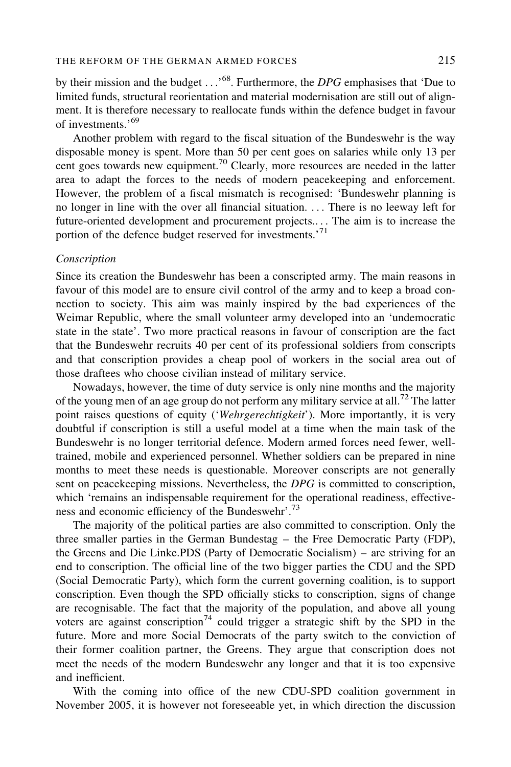## THE REFORM OF THE GERMAN ARMED FORCES 215

by their mission and the budget  $\ldots$ <sup>68</sup>. Furthermore, the DPG emphasises that 'Due to limited funds, structural reorientation and material modernisation are still out of alignment. It is therefore necessary to reallocate funds within the defence budget in favour of investments.'<sup>69</sup>

Another problem with regard to the fiscal situation of the Bundeswehr is the way disposable money is spent. More than 50 per cent goes on salaries while only 13 per cent goes towards new equipment.<sup>70</sup> Clearly, more resources are needed in the latter area to adapt the forces to the needs of modern peacekeeping and enforcement. However, the problem of a fiscal mismatch is recognised: 'Bundeswehr planning is no longer in line with the over all financial situation. ... There is no leeway left for future-oriented development and procurement projects.... The aim is to increase the portion of the defence budget reserved for investments.<sup>71</sup>

## Conscription

Since its creation the Bundeswehr has been a conscripted army. The main reasons in favour of this model are to ensure civil control of the army and to keep a broad connection to society. This aim was mainly inspired by the bad experiences of the Weimar Republic, where the small volunteer army developed into an 'undemocratic state in the state'. Two more practical reasons in favour of conscription are the fact that the Bundeswehr recruits 40 per cent of its professional soldiers from conscripts and that conscription provides a cheap pool of workers in the social area out of those draftees who choose civilian instead of military service.

Nowadays, however, the time of duty service is only nine months and the majority of the young men of an age group do not perform any military service at all.<sup>72</sup> The latter point raises questions of equity ('Wehrgerechtigkeit'). More importantly, it is very doubtful if conscription is still a useful model at a time when the main task of the Bundeswehr is no longer territorial defence. Modern armed forces need fewer, welltrained, mobile and experienced personnel. Whether soldiers can be prepared in nine months to meet these needs is questionable. Moreover conscripts are not generally sent on peacekeeping missions. Nevertheless, the DPG is committed to conscription, which 'remains an indispensable requirement for the operational readiness, effectiveness and economic efficiency of the Bundeswehr'.<sup>73</sup>

The majority of the political parties are also committed to conscription. Only the three smaller parties in the German Bundestag – the Free Democratic Party (FDP), the Greens and Die Linke.PDS (Party of Democratic Socialism) – are striving for an end to conscription. The official line of the two bigger parties the CDU and the SPD (Social Democratic Party), which form the current governing coalition, is to support conscription. Even though the SPD officially sticks to conscription, signs of change are recognisable. The fact that the majority of the population, and above all young voters are against conscription<sup>74</sup> could trigger a strategic shift by the SPD in the future. More and more Social Democrats of the party switch to the conviction of their former coalition partner, the Greens. They argue that conscription does not meet the needs of the modern Bundeswehr any longer and that it is too expensive and inefficient.

With the coming into office of the new CDU-SPD coalition government in November 2005, it is however not foreseeable yet, in which direction the discussion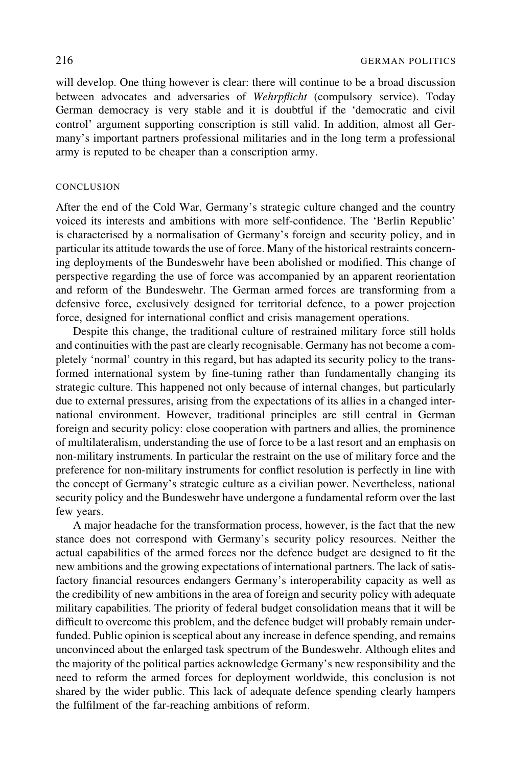will develop. One thing however is clear: there will continue to be a broad discussion between advocates and adversaries of Wehrpflicht (compulsory service). Today German democracy is very stable and it is doubtful if the 'democratic and civil control' argument supporting conscription is still valid. In addition, almost all Germany's important partners professional militaries and in the long term a professional army is reputed to be cheaper than a conscription army.

#### **CONCLUSION**

After the end of the Cold War, Germany's strategic culture changed and the country voiced its interests and ambitions with more self-confidence. The 'Berlin Republic' is characterised by a normalisation of Germany's foreign and security policy, and in particular its attitude towards the use of force. Many of the historical restraints concerning deployments of the Bundeswehr have been abolished or modified. This change of perspective regarding the use of force was accompanied by an apparent reorientation and reform of the Bundeswehr. The German armed forces are transforming from a defensive force, exclusively designed for territorial defence, to a power projection force, designed for international conflict and crisis management operations.

Despite this change, the traditional culture of restrained military force still holds and continuities with the past are clearly recognisable. Germany has not become a completely 'normal' country in this regard, but has adapted its security policy to the transformed international system by fine-tuning rather than fundamentally changing its strategic culture. This happened not only because of internal changes, but particularly due to external pressures, arising from the expectations of its allies in a changed international environment. However, traditional principles are still central in German foreign and security policy: close cooperation with partners and allies, the prominence of multilateralism, understanding the use of force to be a last resort and an emphasis on non-military instruments. In particular the restraint on the use of military force and the preference for non-military instruments for conflict resolution is perfectly in line with the concept of Germany's strategic culture as a civilian power. Nevertheless, national security policy and the Bundeswehr have undergone a fundamental reform over the last few years.

A major headache for the transformation process, however, is the fact that the new stance does not correspond with Germany's security policy resources. Neither the actual capabilities of the armed forces nor the defence budget are designed to fit the new ambitions and the growing expectations of international partners. The lack of satisfactory financial resources endangers Germany's interoperability capacity as well as the credibility of new ambitions in the area of foreign and security policy with adequate military capabilities. The priority of federal budget consolidation means that it will be difficult to overcome this problem, and the defence budget will probably remain underfunded. Public opinion is sceptical about any increase in defence spending, and remains unconvinced about the enlarged task spectrum of the Bundeswehr. Although elites and the majority of the political parties acknowledge Germany's new responsibility and the need to reform the armed forces for deployment worldwide, this conclusion is not shared by the wider public. This lack of adequate defence spending clearly hampers the fulfilment of the far-reaching ambitions of reform.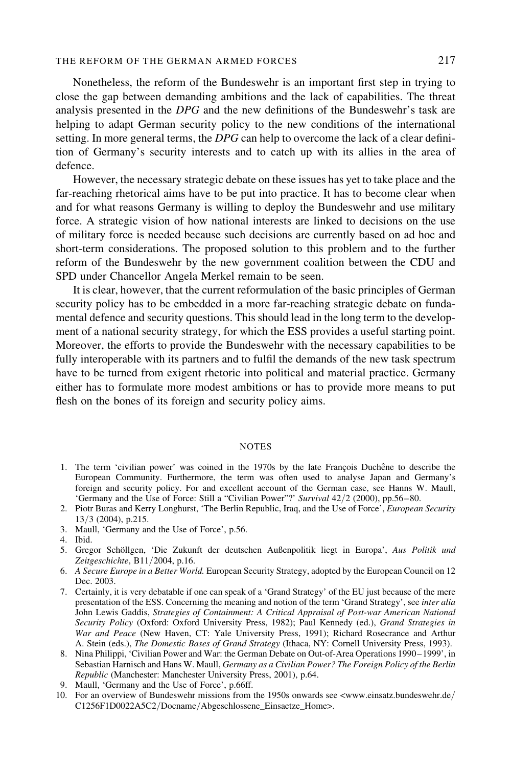## THE REFORM OF THE GERMAN ARMED FORCES 217

Nonetheless, the reform of the Bundeswehr is an important first step in trying to close the gap between demanding ambitions and the lack of capabilities. The threat analysis presented in the DPG and the new definitions of the Bundeswehr's task are helping to adapt German security policy to the new conditions of the international setting. In more general terms, the DPG can help to overcome the lack of a clear definition of Germany's security interests and to catch up with its allies in the area of defence.

However, the necessary strategic debate on these issues has yet to take place and the far-reaching rhetorical aims have to be put into practice. It has to become clear when and for what reasons Germany is willing to deploy the Bundeswehr and use military force. A strategic vision of how national interests are linked to decisions on the use of military force is needed because such decisions are currently based on ad hoc and short-term considerations. The proposed solution to this problem and to the further reform of the Bundeswehr by the new government coalition between the CDU and SPD under Chancellor Angela Merkel remain to be seen.

It is clear, however, that the current reformulation of the basic principles of German security policy has to be embedded in a more far-reaching strategic debate on fundamental defence and security questions. This should lead in the long term to the development of a national security strategy, for which the ESS provides a useful starting point. Moreover, the efforts to provide the Bundeswehr with the necessary capabilities to be fully interoperable with its partners and to fulfil the demands of the new task spectrum have to be turned from exigent rhetoric into political and material practice. Germany either has to formulate more modest ambitions or has to provide more means to put flesh on the bones of its foreign and security policy aims.

#### **NOTES**

- 1. The term 'civilian power' was coined in the 1970s by the late François Duchêne to describe the European Community. Furthermore, the term was often used to analyse Japan and Germany's foreign and security policy. For and excellent account of the German case, see Hanns W. Maull, 'Germany and the Use of Force: Still a "Civilian Power"?' Survival 42/2 (2000), pp.56–80.
- 2. Piotr Buras and Kerry Longhurst, 'The Berlin Republic, Iraq, and the Use of Force', European Security 13/3 (2004), p.215.
- 3. Maull, 'Germany and the Use of Force', p.56.

- 5. Gregor Schöllgen, 'Die Zukunft der deutschen Außenpolitik liegt in Europa', Aus Politik und Zeitgeschichte, B11/2004, p.16.
- 6. A Secure Europe in a Better World. European Security Strategy, adopted by the European Council on 12 Dec. 2003.
- 7. Certainly, it is very debatable if one can speak of a 'Grand Strategy' of the EU just because of the mere presentation of the ESS. Concerning the meaning and notion of the term 'Grand Strategy', see inter alia John Lewis Gaddis, Strategies of Containment: A Critical Appraisal of Post-war American National Security Policy (Oxford: Oxford University Press, 1982); Paul Kennedy (ed.), Grand Strategies in War and Peace (New Haven, CT: Yale University Press, 1991); Richard Rosecrance and Arthur A. Stein (eds.), The Domestic Bases of Grand Strategy (Ithaca, NY: Cornell University Press, 1993).
- 8. Nina Philippi, 'Civilian Power and War: the German Debate on Out-of-Area Operations 1990–1999', in Sebastian Harnisch and Hans W. Maull, Germany as a Civilian Power? The Foreign Policy of the Berlin Republic (Manchester: Manchester University Press, 2001), p.64.
- 9. Maull, 'Germany and the Use of Force', p.66ff.
- 10. For an overview of Bundeswehr missions from the 1950s onwards see <www.einsatz.bundeswehr.de/ C1256F1D0022A5C2/Docname/Abgeschlossene\_Einsaetze\_Home>.

<sup>4.</sup> Ibid.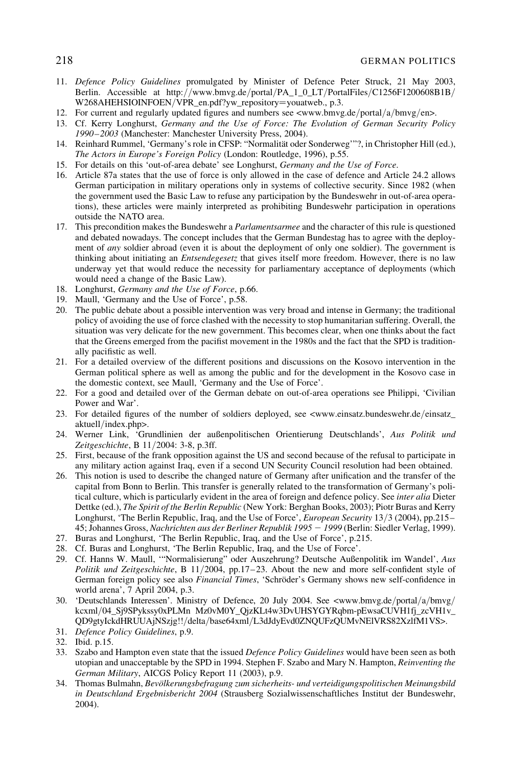- 11. Defence Policy Guidelines promulgated by Minister of Defence Peter Struck, 21 May 2003, Berlin. Accessible at http://www.bmvg.de/portal/PA\_1\_0\_LT/PortalFiles/C1256F1200608B1B/ W268AHEHSIOINFOEN/VPR\_en.pdf?yw\_repository=youatweb., p.3.
- 12. For current and regularly updated figures and numbers see <www.bmvg.de/portal/a/bmvg/en>.
- 13. Cf. Kerry Longhurst, Germany and the Use of Force: The Evolution of German Security Policy 1990–2003 (Manchester: Manchester University Press, 2004).
- 14. Reinhard Rummel, 'Germany's role in CFSP: "Normalität oder Sonderweg'"?, in Christopher Hill (ed.), The Actors in Europe's Foreign Policy (London: Routledge, 1996), p.55.
- 15. For details on this 'out-of-area debate' see Longhurst, Germany and the Use of Force.
- 16. Article 87a states that the use of force is only allowed in the case of defence and Article 24.2 allows German participation in military operations only in systems of collective security. Since 1982 (when the government used the Basic Law to refuse any participation by the Bundeswehr in out-of-area operations), these articles were mainly interpreted as prohibiting Bundeswehr participation in operations outside the NATO area.
- 17. This precondition makes the Bundeswehr a *Parlamentsarmee* and the character of this rule is questioned and debated nowadays. The concept includes that the German Bundestag has to agree with the deployment of *any* soldier abroad (even it is about the deployment of only one soldier). The government is thinking about initiating an *Entsendegesetz* that gives itself more freedom. However, there is no law underway yet that would reduce the necessity for parliamentary acceptance of deployments (which would need a change of the Basic Law).
- 18. Longhurst, Germany and the Use of Force, p.66.
- 19. Maull, 'Germany and the Use of Force', p.58.
- 20. The public debate about a possible intervention was very broad and intense in Germany; the traditional policy of avoiding the use of force clashed with the necessity to stop humanitarian suffering. Overall, the situation was very delicate for the new government. This becomes clear, when one thinks about the fact that the Greens emerged from the pacifist movement in the 1980s and the fact that the SPD is traditionally pacifistic as well.
- 21. For a detailed overview of the different positions and discussions on the Kosovo intervention in the German political sphere as well as among the public and for the development in the Kosovo case in the domestic context, see Maull, 'Germany and the Use of Force'.
- 22. For a good and detailed over of the German debate on out-of-area operations see Philippi, 'Civilian Power and War'.
- 23. For detailed figures of the number of soldiers deployed, see <www.einsatz.bundeswehr.de/einsatz\_ aktuell/index.php>.
- 24. Werner Link, 'Grundlinien der außenpolitischen Orientierung Deutschlands', Aus Politik und Zeitgeschichte, B 11/2004: 3-8, p.3ff.
- 25. First, because of the frank opposition against the US and second because of the refusal to participate in any military action against Iraq, even if a second UN Security Council resolution had been obtained.
- 26. This notion is used to describe the changed nature of Germany after unification and the transfer of the capital from Bonn to Berlin. This transfer is generally related to the transformation of Germany's political culture, which is particularly evident in the area of foreign and defence policy. See inter alia Dieter Dettke (ed.), The Spirit of the Berlin Republic (New York: Berghan Books, 2003); Piotr Buras and Kerry Longhurst, 'The Berlin Republic, Iraq, and the Use of Force', *European Security* 13/3 (2004), pp.215– 45; Johannes Gross, Nachrichten aus der Berliner Republik 1995 – 1999 (Berlin: Siedler Verlag, 1999).
- 27. Buras and Longhurst, 'The Berlin Republic, Iraq, and the Use of Force', p.215.
- 28. Cf. Buras and Longhurst, 'The Berlin Republic, Iraq, and the Use of Force'.
- 29. Cf. Hanns W. Maull, '"Normalisierung" oder Auszehrung? Deutsche Außenpolitik im Wandel', Aus Politik und Zeitgeschichte, B 11/2004, pp.17–23. About the new and more self-confident style of German foreign policy see also Financial Times, 'Schröder's Germany shows new self-confidence in world arena', 7 April 2004, p.3.
- 30. 'Deutschlands Interessen'. Ministry of Defence, 20 July 2004. See <www.bmvg.de/portal/a/bmvg/ kcxml/04\_Sj9SPykssy0xPLMn\_Mz0vM0Y\_QjzKLt4w3DvUHSYGYRqbm-pEwsaCUVH1fj\_zcVH1v QD9gtyIckdHRUUAjNSzjg!!/delta/base64xml/L3dJdyEvd0ZNQUFzQUMvNElVRS82XzlfM1VS>.
- 31. Defence Policy Guidelines, p.9.
- 32. Ibid. p.15.
- 33. Szabo and Hampton even state that the issued *Defence Policy Guidelines* would have been seen as both utopian and unacceptable by the SPD in 1994. Stephen F. Szabo and Mary N. Hampton, Reinventing the German Military, AICGS Policy Report 11 (2003), p.9.
- 34. Thomas Bulmahn, Bevölkerungsbefragung zum sicherheits- und verteidigungspolitischen Meinungsbild in Deutschland Ergebnisbericht 2004 (Strausberg Sozialwissenschaftliches Institut der Bundeswehr, 2004).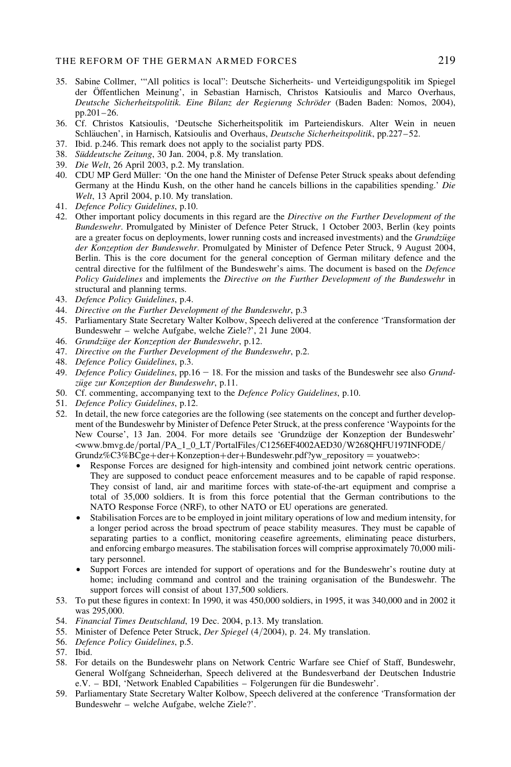## THE REFORM OF THE GERMAN ARMED FORCES 219

- 35. Sabine Collmer, '"All politics is local": Deutsche Sicherheits- und Verteidigungspolitik im Spiegel der Öffentlichen Meinung', in Sebastian Harnisch, Christos Katsioulis and Marco Overhaus, Deutsche Sicherheitspolitik. Eine Bilanz der Regierung Schröder (Baden Baden: Nomos, 2004), pp.201–26.
- 36. Cf. Christos Katsioulis, 'Deutsche Sicherheitspolitik im Parteiendiskurs. Alter Wein in neuen Schläuchen', in Harnisch, Katsioulis and Overhaus, Deutsche Sicherheitspolitik, pp.227–52.
- 37. Ibid. p.246. This remark does not apply to the socialist party PDS.
- 38. Süddeutsche Zeitung, 30 Jan. 2004, p.8. My translation.
- 39. Die Welt, 26 April 2003, p.2. My translation.
- 40. CDU MP Gerd Müller: 'On the one hand the Minister of Defense Peter Struck speaks about defending Germany at the Hindu Kush, on the other hand he cancels billions in the capabilities spending.' Die Welt, 13 April 2004, p.10. My translation.
- 41. Defence Policy Guidelines, p.10.
- 42. Other important policy documents in this regard are the Directive on the Further Development of the Bundeswehr. Promulgated by Minister of Defence Peter Struck, 1 October 2003, Berlin (key points are a greater focus on deployments, lower running costs and increased investments) and the *Grundzüge* der Konzeption der Bundeswehr. Promulgated by Minister of Defence Peter Struck, 9 August 2004, Berlin. This is the core document for the general conception of German military defence and the central directive for the fulfilment of the Bundeswehr's aims. The document is based on the Defence Policy Guidelines and implements the Directive on the Further Development of the Bundeswehr in structural and planning terms.
- 43. Defence Policy Guidelines, p.4.
- 44. Directive on the Further Development of the Bundeswehr, p.3
- 45. Parliamentary State Secretary Walter Kolbow, Speech delivered at the conference 'Transformation der Bundeswehr – welche Aufgabe, welche Ziele?', 21 June 2004.
- 46. Grundzüge der Konzeption der Bundeswehr, p.12.
- 47. Directive on the Further Development of the Bundeswehr, p.2.
- 48. Defence Policy Guidelines, p.3.
- 49. Defence Policy Guidelines,  $pp.16 18$ . For the mission and tasks of the Bundeswehr see also Grundzüge zur Konzeption der Bundeswehr, p.11.
- 50. Cf. commenting, accompanying text to the Defence Policy Guidelines, p.10.
- 51. Defence Policy Guidelines, p.12.
- 52. In detail, the new force categories are the following (see statements on the concept and further development of the Bundeswehr by Minister of Defence Peter Struck, at the press conference 'Waypoints for the New Course', 13 Jan. 2004. For more details see 'Grundzüge der Konzeption der Bundeswehr' <www.bmvg.de/portal/PA\_1\_0\_LT/PortalFiles/C1256EF4002AED30/W268QHFU197INFODE/ Grundz%C3%BCge+der+Konzeption+der+Bundeswehr.pdf?yw\_repository = youatweb>:
	- † Response Forces are designed for high-intensity and combined joint network centric operations. They are supposed to conduct peace enforcement measures and to be capable of rapid response. They consist of land, air and maritime forces with state-of-the-art equipment and comprise a total of 35,000 soldiers. It is from this force potential that the German contributions to the NATO Response Force (NRF), to other NATO or EU operations are generated.
	- Stabilisation Forces are to be employed in joint military operations of low and medium intensity, for a longer period across the broad spectrum of peace stability measures. They must be capable of separating parties to a conflict, monitoring ceasefire agreements, eliminating peace disturbers, and enforcing embargo measures. The stabilisation forces will comprise approximately 70,000 military personnel.
	- Support Forces are intended for support of operations and for the Bundeswehr's routine duty at home; including command and control and the training organisation of the Bundeswehr. The support forces will consist of about 137,500 soldiers.
- 53. To put these figures in context: In 1990, it was 450,000 soldiers, in 1995, it was 340,000 and in 2002 it was 295,000.
- 54. Financial Times Deutschland, 19 Dec. 2004, p.13. My translation.
- 55. Minister of Defence Peter Struck, Der Spiegel (4/2004), p. 24. My translation.
- 56. Defence Policy Guidelines, p.5.
- 57. Ibid.
- 58. For details on the Bundeswehr plans on Network Centric Warfare see Chief of Staff, Bundeswehr, General Wolfgang Schneiderhan, Speech delivered at the Bundesverband der Deutschen Industrie e.V. – BDI, 'Network Enabled Capabilities – Folgerungen für die Bundeswehr'.
- 59. Parliamentary State Secretary Walter Kolbow, Speech delivered at the conference 'Transformation der Bundeswehr – welche Aufgabe, welche Ziele?'.